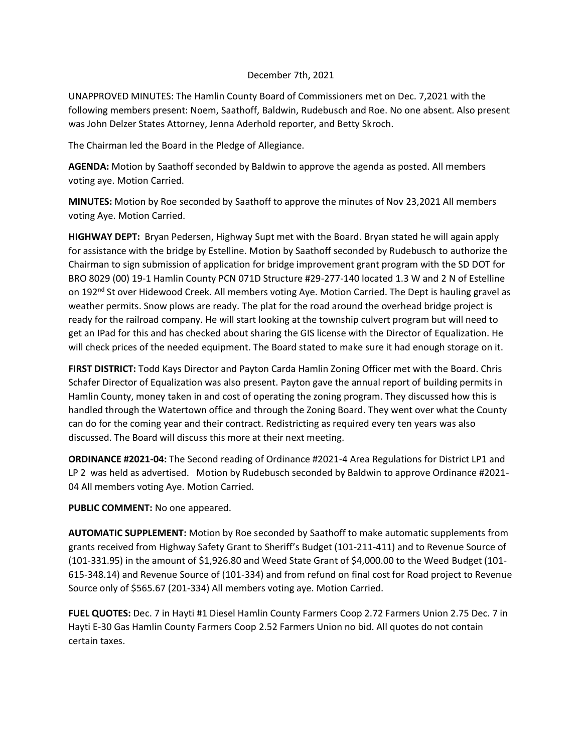## December 7th, 2021

UNAPPROVED MINUTES: The Hamlin County Board of Commissioners met on Dec. 7,2021 with the following members present: Noem, Saathoff, Baldwin, Rudebusch and Roe. No one absent. Also present was John Delzer States Attorney, Jenna Aderhold reporter, and Betty Skroch.

The Chairman led the Board in the Pledge of Allegiance.

**AGENDA:** Motion by Saathoff seconded by Baldwin to approve the agenda as posted. All members voting aye. Motion Carried.

**MINUTES:** Motion by Roe seconded by Saathoff to approve the minutes of Nov 23,2021 All members voting Aye. Motion Carried.

**HIGHWAY DEPT:** Bryan Pedersen, Highway Supt met with the Board. Bryan stated he will again apply for assistance with the bridge by Estelline. Motion by Saathoff seconded by Rudebusch to authorize the Chairman to sign submission of application for bridge improvement grant program with the SD DOT for BRO 8029 (00) 19-1 Hamlin County PCN 071D Structure #29-277-140 located 1.3 W and 2 N of Estelline on 192<sup>nd</sup> St over Hidewood Creek. All members voting Aye. Motion Carried. The Dept is hauling gravel as weather permits. Snow plows are ready. The plat for the road around the overhead bridge project is ready for the railroad company. He will start looking at the township culvert program but will need to get an IPad for this and has checked about sharing the GIS license with the Director of Equalization. He will check prices of the needed equipment. The Board stated to make sure it had enough storage on it.

**FIRST DISTRICT:** Todd Kays Director and Payton Carda Hamlin Zoning Officer met with the Board. Chris Schafer Director of Equalization was also present. Payton gave the annual report of building permits in Hamlin County, money taken in and cost of operating the zoning program. They discussed how this is handled through the Watertown office and through the Zoning Board. They went over what the County can do for the coming year and their contract. Redistricting as required every ten years was also discussed. The Board will discuss this more at their next meeting.

**ORDINANCE #2021-04:** The Second reading of Ordinance #2021-4 Area Regulations for District LP1 and LP 2 was held as advertised. Motion by Rudebusch seconded by Baldwin to approve Ordinance #2021- 04 All members voting Aye. Motion Carried.

**PUBLIC COMMENT:** No one appeared.

**AUTOMATIC SUPPLEMENT:** Motion by Roe seconded by Saathoff to make automatic supplements from grants received from Highway Safety Grant to Sheriff's Budget (101-211-411) and to Revenue Source of (101-331.95) in the amount of \$1,926.80 and Weed State Grant of \$4,000.00 to the Weed Budget (101- 615-348.14) and Revenue Source of (101-334) and from refund on final cost for Road project to Revenue Source only of \$565.67 (201-334) All members voting aye. Motion Carried.

**FUEL QUOTES:** Dec. 7 in Hayti #1 Diesel Hamlin County Farmers Coop 2.72 Farmers Union 2.75 Dec. 7 in Hayti E-30 Gas Hamlin County Farmers Coop 2.52 Farmers Union no bid. All quotes do not contain certain taxes.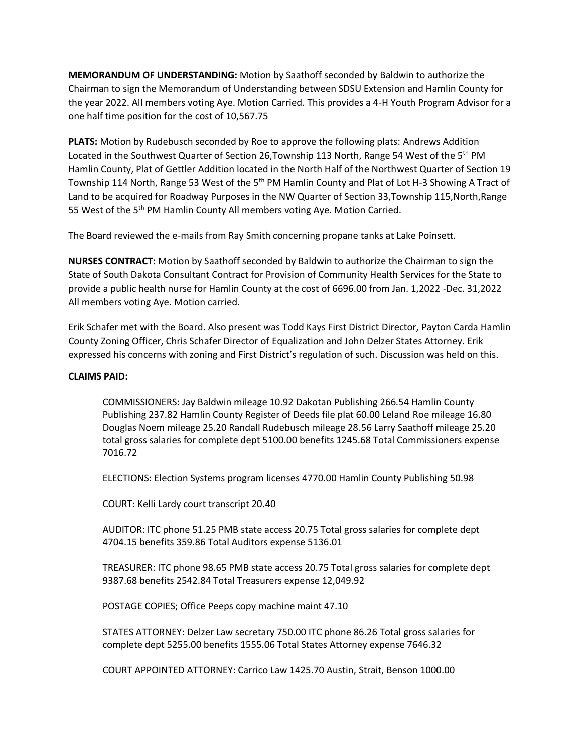**MEMORANDUM OF UNDERSTANDING:** Motion by Saathoff seconded by Baldwin to authorize the Chairman to sign the Memorandum of Understanding between SDSU Extension and Hamlin County for the year 2022. All members voting Aye. Motion Carried. This provides a 4-H Youth Program Advisor for a one half time position for the cost of 10,567.75

**PLATS:** Motion by Rudebusch seconded by Roe to approve the following plats: Andrews Addition Located in the Southwest Quarter of Section 26, Township 113 North, Range 54 West of the 5<sup>th</sup> PM Hamlin County, Plat of Gettler Addition located in the North Half of the Northwest Quarter of Section 19 Township 114 North, Range 53 West of the 5<sup>th</sup> PM Hamlin County and Plat of Lot H-3 Showing A Tract of Land to be acquired for Roadway Purposes in the NW Quarter of Section 33,Township 115,North,Range 55 West of the 5<sup>th</sup> PM Hamlin County All members voting Aye. Motion Carried.

The Board reviewed the e-mails from Ray Smith concerning propane tanks at Lake Poinsett.

**NURSES CONTRACT:** Motion by Saathoff seconded by Baldwin to authorize the Chairman to sign the State of South Dakota Consultant Contract for Provision of Community Health Services for the State to provide a public health nurse for Hamlin County at the cost of 6696.00 from Jan. 1,2022 -Dec. 31,2022 All members voting Aye. Motion carried.

Erik Schafer met with the Board. Also present was Todd Kays First District Director, Payton Carda Hamlin County Zoning Officer, Chris Schafer Director of Equalization and John Delzer States Attorney. Erik expressed his concerns with zoning and First District's regulation of such. Discussion was held on this.

## **CLAIMS PAID:**

COMMISSIONERS: Jay Baldwin mileage 10.92 Dakotan Publishing 266.54 Hamlin County Publishing 237.82 Hamlin County Register of Deeds file plat 60.00 Leland Roe mileage 16.80 Douglas Noem mileage 25.20 Randall Rudebusch mileage 28.56 Larry Saathoff mileage 25.20 total gross salaries for complete dept 5100.00 benefits 1245.68 Total Commissioners expense 7016.72

ELECTIONS: Election Systems program licenses 4770.00 Hamlin County Publishing 50.98

COURT: Kelli Lardy court transcript 20.40

AUDITOR: ITC phone 51.25 PMB state access 20.75 Total gross salaries for complete dept 4704.15 benefits 359.86 Total Auditors expense 5136.01

TREASURER: ITC phone 98.65 PMB state access 20.75 Total gross salaries for complete dept 9387.68 benefits 2542.84 Total Treasurers expense 12,049.92

POSTAGE COPIES; Office Peeps copy machine maint 47.10

STATES ATTORNEY: Delzer Law secretary 750.00 ITC phone 86.26 Total gross salaries for complete dept 5255.00 benefits 1555.06 Total States Attorney expense 7646.32

COURT APPOINTED ATTORNEY: Carrico Law 1425.70 Austin, Strait, Benson 1000.00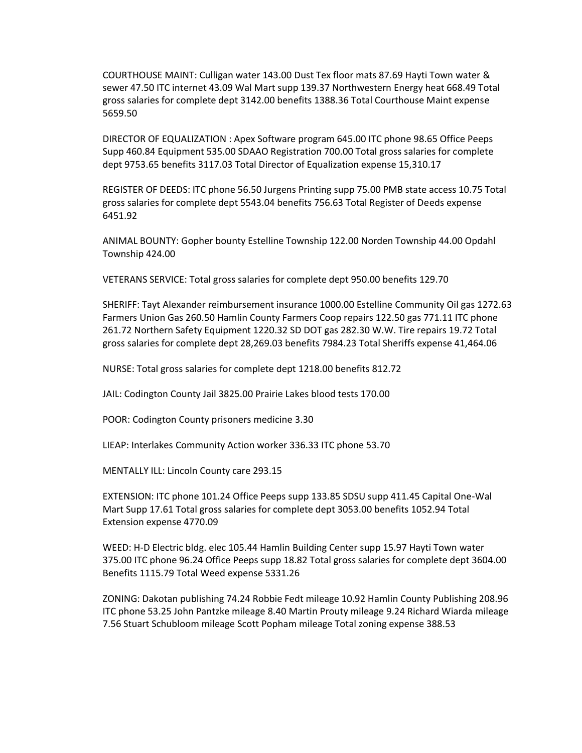COURTHOUSE MAINT: Culligan water 143.00 Dust Tex floor mats 87.69 Hayti Town water & sewer 47.50 ITC internet 43.09 Wal Mart supp 139.37 Northwestern Energy heat 668.49 Total gross salaries for complete dept 3142.00 benefits 1388.36 Total Courthouse Maint expense 5659.50

DIRECTOR OF EQUALIZATION : Apex Software program 645.00 ITC phone 98.65 Office Peeps Supp 460.84 Equipment 535.00 SDAAO Registration 700.00 Total gross salaries for complete dept 9753.65 benefits 3117.03 Total Director of Equalization expense 15,310.17

REGISTER OF DEEDS: ITC phone 56.50 Jurgens Printing supp 75.00 PMB state access 10.75 Total gross salaries for complete dept 5543.04 benefits 756.63 Total Register of Deeds expense 6451.92

ANIMAL BOUNTY: Gopher bounty Estelline Township 122.00 Norden Township 44.00 Opdahl Township 424.00

VETERANS SERVICE: Total gross salaries for complete dept 950.00 benefits 129.70

SHERIFF: Tayt Alexander reimbursement insurance 1000.00 Estelline Community Oil gas 1272.63 Farmers Union Gas 260.50 Hamlin County Farmers Coop repairs 122.50 gas 771.11 ITC phone 261.72 Northern Safety Equipment 1220.32 SD DOT gas 282.30 W.W. Tire repairs 19.72 Total gross salaries for complete dept 28,269.03 benefits 7984.23 Total Sheriffs expense 41,464.06

NURSE: Total gross salaries for complete dept 1218.00 benefits 812.72

JAIL: Codington County Jail 3825.00 Prairie Lakes blood tests 170.00

POOR: Codington County prisoners medicine 3.30

LIEAP: Interlakes Community Action worker 336.33 ITC phone 53.70

MENTALLY ILL: Lincoln County care 293.15

EXTENSION: ITC phone 101.24 Office Peeps supp 133.85 SDSU supp 411.45 Capital One-Wal Mart Supp 17.61 Total gross salaries for complete dept 3053.00 benefits 1052.94 Total Extension expense 4770.09

WEED: H-D Electric bldg. elec 105.44 Hamlin Building Center supp 15.97 Hayti Town water 375.00 ITC phone 96.24 Office Peeps supp 18.82 Total gross salaries for complete dept 3604.00 Benefits 1115.79 Total Weed expense 5331.26

ZONING: Dakotan publishing 74.24 Robbie Fedt mileage 10.92 Hamlin County Publishing 208.96 ITC phone 53.25 John Pantzke mileage 8.40 Martin Prouty mileage 9.24 Richard Wiarda mileage 7.56 Stuart Schubloom mileage Scott Popham mileage Total zoning expense 388.53